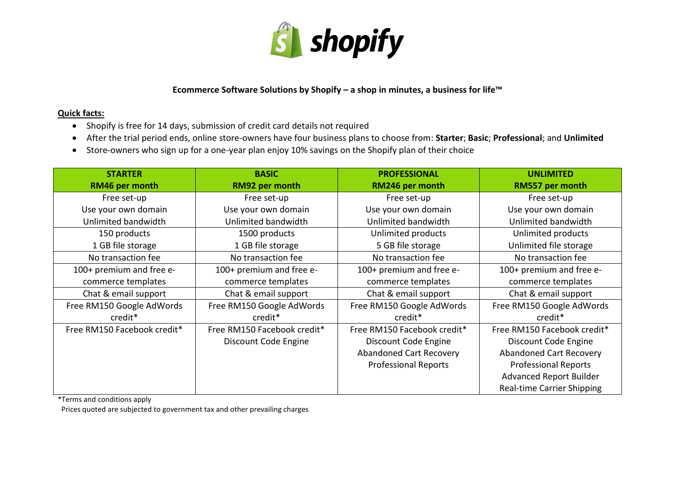

**Ecommerce Software Solutions by Shopify – a shop in minutes, a business for life™**

## **Quick facts:**

- Shopify is free for 14 days, submission of credit card details not required
- After the trial period ends, online store-owners have four business plans to choose from: **Starter**; **Basic**; **Professional**; and **Unlimited**
- Store-owners who sign up for a one-year plan enjoy 10% savings on the Shopify plan of their choice

| <b>STARTER</b>              | <b>BASIC</b>                | <b>PROFESSIONAL</b>            | <b>UNLIMITED</b>               |
|-----------------------------|-----------------------------|--------------------------------|--------------------------------|
| RM46 per month              | RM92 per month              | RM246 per month                | RM557 per month                |
| Free set-up                 | Free set-up                 | Free set-up                    | Free set-up                    |
| Use your own domain         | Use your own domain         | Use your own domain            | Use your own domain            |
| Unlimited bandwidth         | Unlimited bandwidth         | Unlimited bandwidth            | Unlimited bandwidth            |
| 150 products                | 1500 products               | Unlimited products             | Unlimited products             |
| 1 GB file storage           | 1 GB file storage           | 5 GB file storage              | Unlimited file storage         |
| No transaction fee          | No transaction fee          | No transaction fee             | No transaction fee             |
| 100+ premium and free e-    | 100+ premium and free e-    | 100+ premium and free e-       | 100+ premium and free e-       |
| commerce templates          | commerce templates          | commerce templates             | commerce templates             |
| Chat & email support        | Chat & email support        | Chat & email support           | Chat & email support           |
| Free RM150 Google AdWords   | Free RM150 Google AdWords   | Free RM150 Google AdWords      | Free RM150 Google AdWords      |
| credit <sup>*</sup>         | credit <sup>*</sup>         | credit*                        | credit*                        |
| Free RM150 Facebook credit* | Free RM150 Facebook credit* | Free RM150 Facebook credit*    | Free RM150 Facebook credit*    |
|                             | Discount Code Engine        | Discount Code Engine           | Discount Code Engine           |
|                             |                             | <b>Abandoned Cart Recovery</b> | <b>Abandoned Cart Recovery</b> |
|                             |                             | <b>Professional Reports</b>    | <b>Professional Reports</b>    |
|                             |                             |                                | <b>Advanced Report Builder</b> |
|                             |                             |                                | Real-time Carrier Shipping     |

\*Terms and conditions apply

Prices quoted are subjected to government tax and other prevailing charges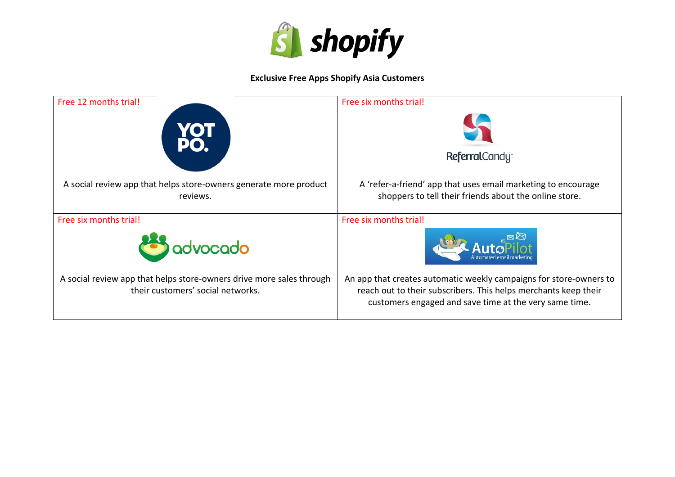

## **Exclusive Free Apps Shopify Asia Customers**

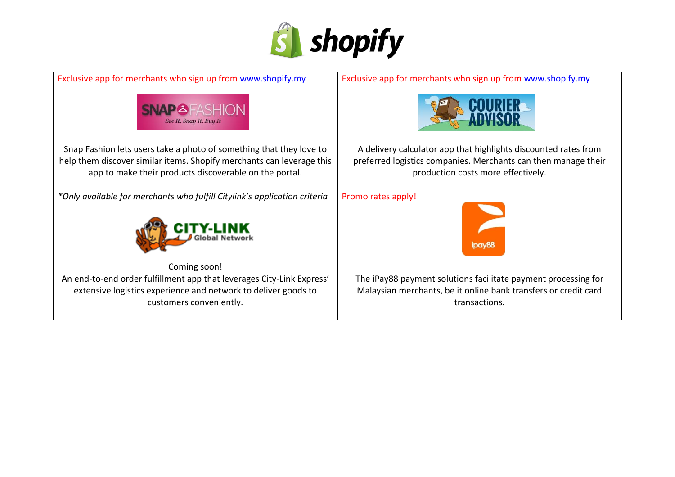

| Exclusive app for merchants who sign up from www.shopify.my                                                                                                        | Exclusive app for merchants who sign up from www.shopify.my                                                                                        |  |
|--------------------------------------------------------------------------------------------------------------------------------------------------------------------|----------------------------------------------------------------------------------------------------------------------------------------------------|--|
| <b>SNAP&amp;FASHION</b><br>See It. Snap It. Buy It                                                                                                                 |                                                                                                                                                    |  |
| Snap Fashion lets users take a photo of something that they love to                                                                                                | A delivery calculator app that highlights discounted rates from                                                                                    |  |
| help them discover similar items. Shopify merchants can leverage this<br>app to make their products discoverable on the portal.                                    | preferred logistics companies. Merchants can then manage their<br>production costs more effectively.                                               |  |
| *Only available for merchants who fulfill Citylink's application criteria                                                                                          | Promo rates apply!                                                                                                                                 |  |
|                                                                                                                                                                    | <b>IDAV85</b>                                                                                                                                      |  |
| Coming soon!                                                                                                                                                       |                                                                                                                                                    |  |
| An end-to-end order fulfillment app that leverages City-Link Express'<br>extensive logistics experience and network to deliver goods to<br>customers conveniently. | The iPay88 payment solutions facilitate payment processing for<br>Malaysian merchants, be it online bank transfers or credit card<br>transactions. |  |